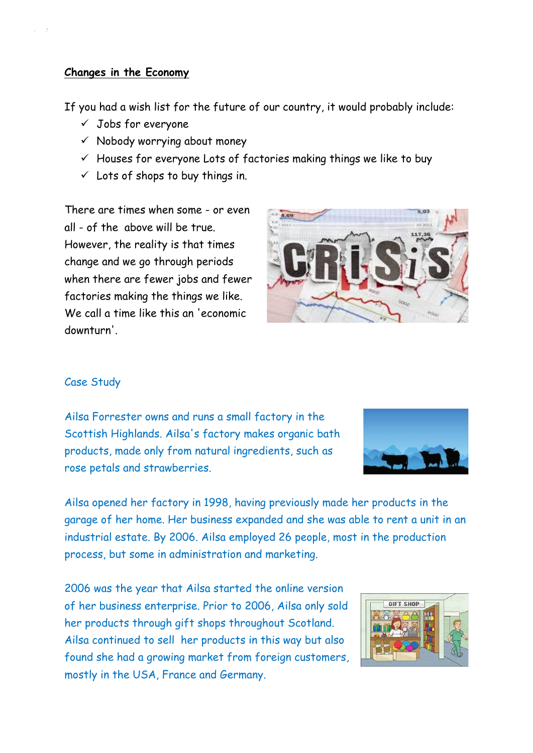#### **Changes in the Economy**

If you had a wish list for the future of our country, it would probably include:

- ✓ Jobs for everyone
- $\checkmark$  Nobody worrying about money
- $\checkmark$  Houses for everyone Lots of factories making things we like to buy
- $\checkmark$  Lots of shops to buy things in.

There are times when some - or even all - of the above will be true. However, the reality is that times change and we go through periods when there are fewer jobs and fewer factories making the things we like. We call a time like this an 'economic downturn'.



# Case Study

Ailsa Forrester owns and runs a small factory in the Scottish Highlands. Ailsa's factory makes organic bath products, made only from natural ingredients, such as rose petals and strawberries.



Ailsa opened her factory in 1998, having previously made her products in the garage of her home. Her business expanded and she was able to rent a unit in an industrial estate. By 2006. Ailsa employed 26 people, most in the production process, but some in administration and marketing.

2006 was the year that Ailsa started the online version of her business enterprise. Prior to 2006, Ailsa only sold her products through gift shops throughout Scotland. Ailsa continued to sell her products in this way but also found she had a growing market from foreign customers, mostly in the USA, France and Germany.

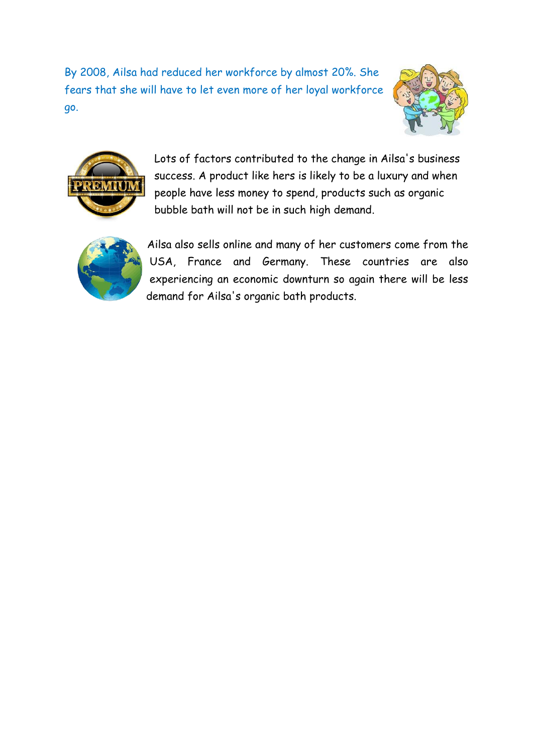By 2008, Ailsa had reduced her workforce by almost 20%. She fears that she will have to let even more of her loyal workforce go.





Lots of factors contributed to the change in Ailsa's business success. A product like hers is likely to be a luxury and when people have less money to spend, products such as organic bubble bath will not be in such high demand.



Ailsa also sells online and many of her customers come from the USA, France and Germany. These countries are also experiencing an economic downturn so again there will be less demand for Ailsa's organic bath products.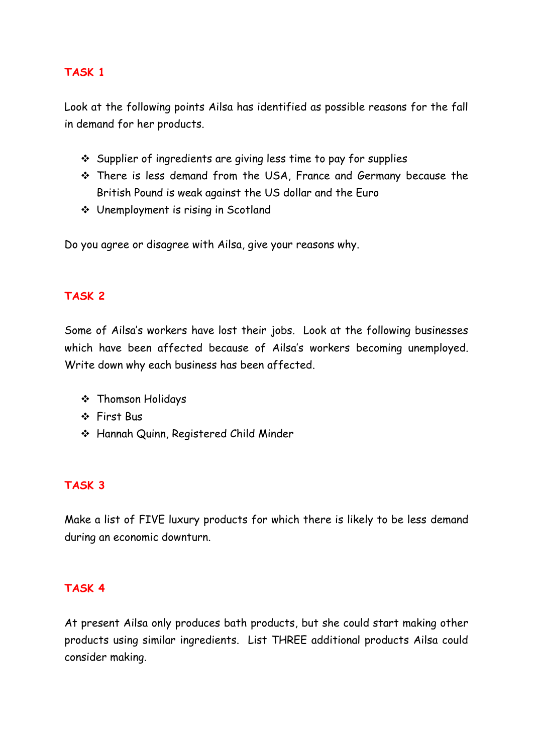### **TASK 1**

Look at the following points Ailsa has identified as possible reasons for the fall in demand for her products.

- ❖ Supplier of ingredients are giving less time to pay for supplies
- ❖ There is less demand from the USA, France and Germany because the British Pound is weak against the US dollar and the Euro
- ❖ Unemployment is rising in Scotland

Do you agree or disagree with Ailsa, give your reasons why.

### **TASK 2**

Some of Ailsa's workers have lost their jobs. Look at the following businesses which have been affected because of Ailsa's workers becoming unemployed. Write down why each business has been affected.

- ❖ Thomson Holidays
- ❖ First Bus
- ❖ Hannah Quinn, Registered Child Minder

# **TASK 3**

Make a list of FIVE luxury products for which there is likely to be less demand during an economic downturn.

#### **TASK 4**

At present Ailsa only produces bath products, but she could start making other products using similar ingredients. List THREE additional products Ailsa could consider making.